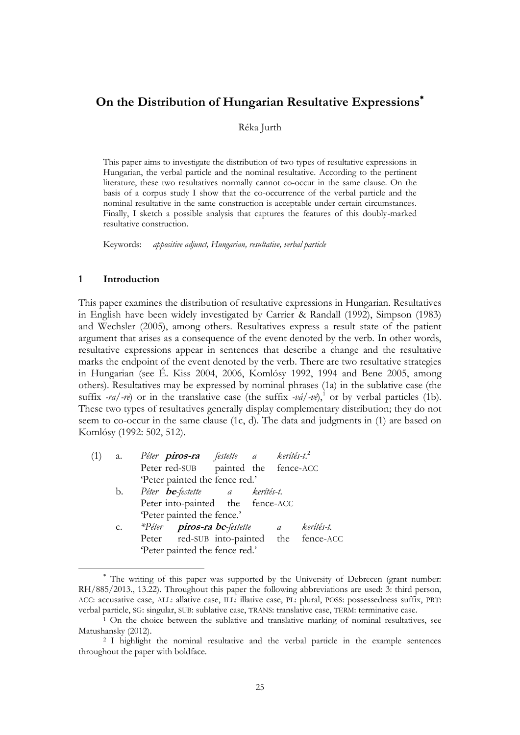# **On the Distribution of Hungarian Resultative Expressions**

#### Réka Jurth

This paper aims to investigate the distribution of two types of resultative expressions in Hungarian, the verbal particle and the nominal resultative. According to the pertinent literature, these two resultatives normally cannot co-occur in the same clause. On the basis of a corpus study I show that the co-occurrence of the verbal particle and the nominal resultative in the same construction is acceptable under certain circumstances. Finally, I sketch a possible analysis that captures the features of this doubly-marked resultative construction.

Keywords: *appositive adjunct, Hungarian, resultative, verbal particle*

### **1 Introduction**

 $\overline{a}$ 

This paper examines the distribution of resultative expressions in Hungarian. Resultatives in English have been widely investigated by Carrier & Randall (1992), Simpson (1983) and Wechsler (2005), among others. Resultatives express a result state of the patient argument that arises as a consequence of the event denoted by the verb. In other words, resultative expressions appear in sentences that describe a change and the resultative marks the endpoint of the event denoted by the verb. There are two resultative strategies in Hungarian (see É. Kiss 2004, 2006, Komlósy 1992, 1994 and Bene 2005, among others). Resultatives may be expressed by nominal phrases (1a) in the sublative case (the suffix *-ra/-re*) or in the translative case (the suffix *-vá/-ve*),<sup>1</sup> or by verbal particles (1b). These two types of resultatives generally display complementary distribution; they do not seem to co-occur in the same clause (1c, d). The data and judgments in (1) are based on Komlósy (1992: 502, 512).

| (1) |               | a. Péter <b>piros-ra</b> festette a kerítés-t. <sup>2</sup> |
|-----|---------------|-------------------------------------------------------------|
|     |               | Peter red-SUB painted the fence-ACC                         |
|     |               | 'Peter painted the fence red.'                              |
|     |               | b. Péter <b>be</b> -festette a kerítés-t.                   |
|     |               | Peter into-painted the fence-ACC                            |
|     |               | 'Peter painted the fence.'                                  |
|     | $C_{\bullet}$ | *Péter <b>piros-ra be</b> -festette a kerítés-t.            |
|     |               | Peter red-SUB into-painted the fence-ACC                    |
|     |               | 'Peter painted the fence red.'                              |
|     |               |                                                             |

The writing of this paper was supported by the University of Debrecen (grant number: RH/885/2013., 13.22). Throughout this paper the following abbreviations are used: 3: third person, ACC: accusative case, ALL: allative case, ILL: illative case, PL: plural, POSS: possessedness suffix, PRT: verbal particle, SG: singular, SUB: sublative case, TRANS: translative case, TERM: terminative case.

<sup>1</sup> On the choice between the sublative and translative marking of nominal resultatives, see Matushansky (2012).

<sup>2</sup> I highlight the nominal resultative and the verbal particle in the example sentences throughout the paper with boldface.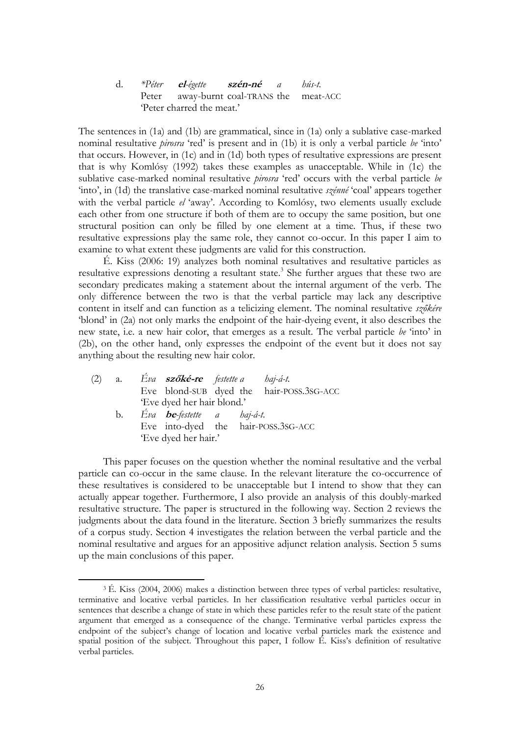d. *\*Péter* **el***-égette* **szén-né** *a hús-t.* Peter away-burnt coal-TRANS the meat-ACC Peter charred the meat.'

The sentences in (1a) and (1b) are grammatical, since in (1a) only a sublative case-marked nominal resultative *pirosra* "red" is present and in (1b) it is only a verbal particle *be* "into" that occurs. However, in (1c) and in (1d) both types of resultative expressions are present that is why Komlósy (1992) takes these examples as unacceptable. While in (1c) the sublative case-marked nominal resultative *pirosra* "red" occurs with the verbal particle *be* "into", in (1d) the translative case-marked nominal resultative *szénné* "coal" appears together with the verbal particle *el* 'away'. According to Komlósy, two elements usually exclude each other from one structure if both of them are to occupy the same position, but one structural position can only be filled by one element at a time. Thus, if these two resultative expressions play the same role, they cannot co-occur. In this paper I aim to examine to what extent these judgments are valid for this construction.

É. Kiss (2006: 19) analyzes both nominal resultatives and resultative particles as resultative expressions denoting a resultant state.<sup>3</sup> She further argues that these two are secondary predicates making a statement about the internal argument of the verb. The only difference between the two is that the verbal particle may lack any descriptive content in itself and can function as a telicizing element. The nominal resultative *szőkére* "blond" in (2a) not only marks the endpoint of the hair-dyeing event, it also describes the new state, i.e. a new hair color, that emerges as a result. The verbal particle *be* "into" in (2b), on the other hand, only expresses the endpoint of the event but it does not say anything about the resulting new hair color.

| (2) | a. | Eva <b>szőké-re</b> festette a      | haj-á-t.                                 |
|-----|----|-------------------------------------|------------------------------------------|
|     |    |                                     | Eve blond-SUB dyed the hair-POSS.3SG-ACC |
|     |    | 'Eve dyed her hair blond.'          |                                          |
|     | b. | Eva <b>be</b> -festette a haj-á-t.  |                                          |
|     |    | Eve into-dyed the hair-POSS.3SG-ACC |                                          |
|     |    | 'Eve dyed her hair.'                |                                          |

 $\overline{a}$ 

This paper focuses on the question whether the nominal resultative and the verbal particle can co-occur in the same clause. In the relevant literature the co-occurrence of these resultatives is considered to be unacceptable but I intend to show that they can actually appear together. Furthermore, I also provide an analysis of this doubly-marked resultative structure. The paper is structured in the following way. Section 2 reviews the judgments about the data found in the literature. Section 3 briefly summarizes the results of a corpus study. Section 4 investigates the relation between the verbal particle and the nominal resultative and argues for an appositive adjunct relation analysis. Section 5 sums up the main conclusions of this paper.

<sup>3</sup> É. Kiss (2004, 2006) makes a distinction between three types of verbal particles: resultative, terminative and locative verbal particles. In her classification resultative verbal particles occur in sentences that describe a change of state in which these particles refer to the result state of the patient argument that emerged as a consequence of the change. Terminative verbal particles express the endpoint of the subject's change of location and locative verbal particles mark the existence and spatial position of the subject. Throughout this paper, I follow É. Kiss's definition of resultative verbal particles.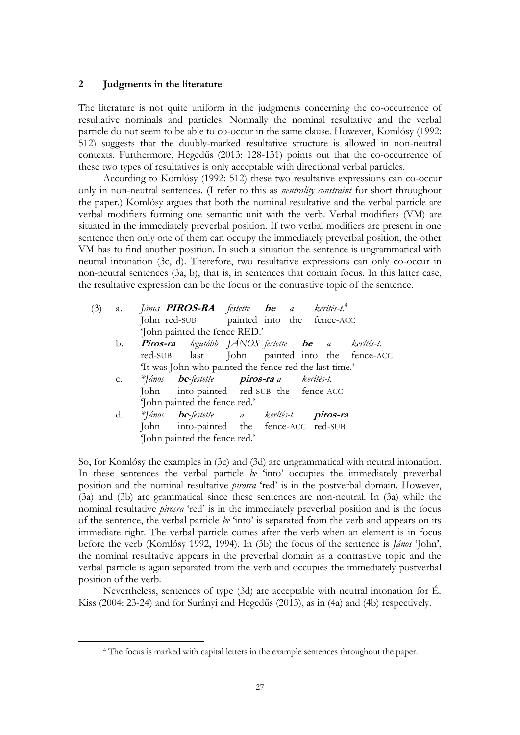### **2 Judgments in the literature**

 $\overline{a}$ 

The literature is not quite uniform in the judgments concerning the co-occurrence of resultative nominals and particles. Normally the nominal resultative and the verbal particle do not seem to be able to co-occur in the same clause. However, Komlósy (1992: 512) suggests that the doubly-marked resultative structure is allowed in non-neutral contexts. Furthermore, Hegedűs (2013: 128-131) points out that the co-occurrence of these two types of resultatives is only acceptable with directional verbal particles.

According to Komlósy (1992: 512) these two resultative expressions can co-occur only in non-neutral sentences. (I refer to this as *neutrality constraint* for short throughout the paper.) Komlósy argues that both the nominal resultative and the verbal particle are verbal modifiers forming one semantic unit with the verb. Verbal modifiers (VM) are situated in the immediately preverbal position. If two verbal modifiers are present in one sentence then only one of them can occupy the immediately preverbal position, the other VM has to find another position. In such a situation the sentence is ungrammatical with neutral intonation (3c, d). Therefore, two resultative expressions can only co-occur in non-neutral sentences (3a, b), that is, in sentences that contain focus. In this latter case, the resultative expression can be the focus or the contrastive topic of the sentence.

| (3) |    | a. János <b>PIROS-RA</b> festette <b>be</b> a kerítés-t. <sup>4</sup> |  |  |  |
|-----|----|-----------------------------------------------------------------------|--|--|--|
|     |    | John red-SUB painted into the fence-ACC                               |  |  |  |
|     |    | 'John painted the fence RED.'                                         |  |  |  |
|     | b. | <b>Piros-ra</b> legutóbb JÁNOS festette <b>be</b> a kerítés-t.        |  |  |  |
|     |    | red-SUB last John painted into the fence-ACC                          |  |  |  |
|     |    | 'It was John who painted the fence red the last time.'                |  |  |  |
|     |    | c. *János <b>be</b> -festette <b>piros-ra</b> a kerítés-t.            |  |  |  |
|     |    | John into-painted red-SUB the fence-ACC                               |  |  |  |
|     |    | 'John painted the fence red.'                                         |  |  |  |
|     |    | d. *János be-festette a kerítés-t piros-ra.                           |  |  |  |
|     |    | John into-painted the fence-ACC red-SUB                               |  |  |  |
|     |    | 'John painted the fence red.'                                         |  |  |  |

So, for Komlósy the examples in (3c) and (3d) are ungrammatical with neutral intonation. In these sentences the verbal particle *be* 'into' occupies the immediately preverbal position and the nominal resultative *pirosra* "red" is in the postverbal domain. However, (3a) and (3b) are grammatical since these sentences are non-neutral. In (3a) while the nominal resultative *pirosra* "red" is in the immediately preverbal position and is the focus of the sentence, the verbal particle *be* "into" is separated from the verb and appears on its immediate right. The verbal particle comes after the verb when an element is in focus before the verb (Komlósy 1992, 1994). In (3b) the focus of the sentence is *János* "John", the nominal resultative appears in the preverbal domain as a contrastive topic and the verbal particle is again separated from the verb and occupies the immediately postverbal position of the verb.

Nevertheless, sentences of type (3d) are acceptable with neutral intonation for É. Kiss (2004: 23-24) and for Surányi and Hegedűs (2013), as in (4a) and (4b) respectively.

<sup>4</sup> The focus is marked with capital letters in the example sentences throughout the paper.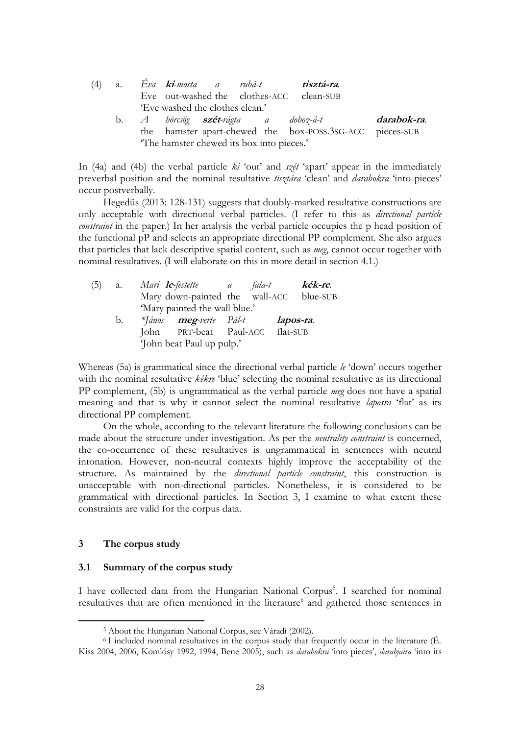|                                          | (4) a. Eva <b>ki</b> -mosta a ruhá-t <b>tisztá-ra</b> . |  |  |                                                          |             |  |  |  |
|------------------------------------------|---------------------------------------------------------|--|--|----------------------------------------------------------|-------------|--|--|--|
|                                          | Eve out-washed the clothes-ACC clean-SUB                |  |  |                                                          |             |  |  |  |
|                                          | 'Eve washed the clothes clean.'                         |  |  |                                                          |             |  |  |  |
|                                          |                                                         |  |  | b. A hörcsög <b>szét</b> -rágta a doboz-á-t              | darabok-ra. |  |  |  |
|                                          |                                                         |  |  | the hamster apart-chewed the box-POSS.3SG-ACC pieces-SUB |             |  |  |  |
| The hamster chewed its box into pieces.' |                                                         |  |  |                                                          |             |  |  |  |

In (4a) and (4b) the verbal particle *ki* "out" and *szét* "apart" appear in the immediately preverbal position and the nominal resultative *tisztára* "clean" and *darabokra* "into pieces" occur postverbally.

Hegedűs (2013: 128-131) suggests that doubly-marked resultative constructions are only acceptable with directional verbal particles. (I refer to this as *directional particle constraint* in the paper.) In her analysis the verbal particle occupies the p head position of the functional pP and selects an appropriate directional PP complement. She also argues that particles that lack descriptive spatial content, such as *meg*, cannot occur together with nominal resultatives. (I will elaborate on this in more detail in section 4.1.)

| (5) | a. | Mari <b>le</b> -festette a              | fala-t | kék-re.   |  |
|-----|----|-----------------------------------------|--------|-----------|--|
|     |    | Mary down-painted the wall-ACC blue-SUB |        |           |  |
|     |    | 'Mary painted the wall blue.'           |        |           |  |
|     | b. | *János <b>meg</b> -verte Pál-t          |        | lapos-ra. |  |
|     |    | John PRT-beat Paul-ACC flat-SUB         |        |           |  |
|     |    | 'John beat Paul up pulp.'               |        |           |  |

Whereas (5a) is grammatical since the directional verbal particle *le* "down" occurs together with the nominal resultative *kékre* "blue" selecting the nominal resultative as its directional PP complement, (5b) is ungrammatical as the verbal particle *meg* does not have a spatial meaning and that is why it cannot select the nominal resultative *laposra* 'flat' as its directional PP complement.

On the whole, according to the relevant literature the following conclusions can be made about the structure under investigation. As per the *neutrality constraint* is concerned, the co-occurrence of these resultatives is ungrammatical in sentences with neutral intonation. However, non-neutral contexts highly improve the acceptability of the structure. As maintained by the *directional particle constraint*, this construction is unacceptable with non-directional particles. Nonetheless, it is considered to be grammatical with directional particles. In Section 3, I examine to what extent these constraints are valid for the corpus data.

### **3 The corpus study**

 $\overline{a}$ 

#### **3.1 Summary of the corpus study**

I have collected data from the Hungarian National Corpus<sup>5</sup>. I searched for nominal resultatives that are often mentioned in the literature<sup>6</sup> and gathered those sentences in

<sup>5</sup> About the Hungarian National Corpus, see Váradi (2002).

<sup>6</sup> I included nominal resultatives in the corpus study that frequently occur in the literature (É. Kiss 2004, 2006, Komlósy 1992, 1994, Bene 2005), such as *darabokra* "into pieces", *darabjaira* "into its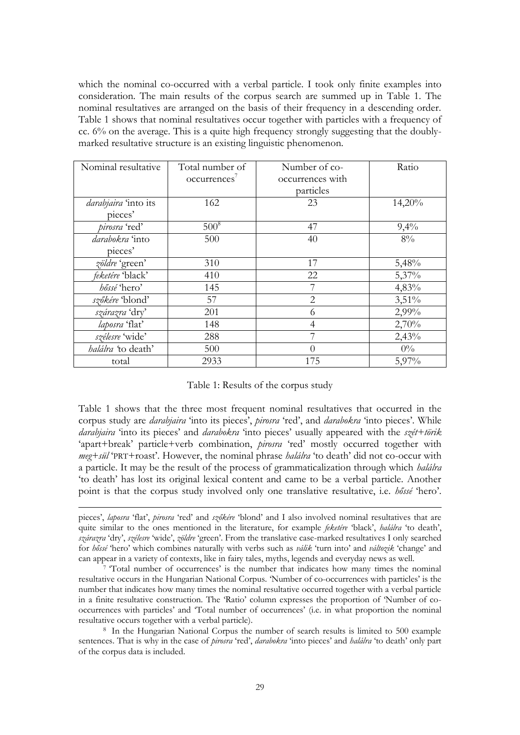which the nominal co-occurred with a verbal particle. I took only finite examples into consideration. The main results of the corpus search are summed up in Table 1. The nominal resultatives are arranged on the basis of their frequency in a descending order. Table 1 shows that nominal resultatives occur together with particles with a frequency of cc. 6% on the average. This is a quite high frequency strongly suggesting that the doublymarked resultative structure is an existing linguistic phenomenon.

| Nominal resultative         | Total number of          | Number of co-    | Ratio    |
|-----------------------------|--------------------------|------------------|----------|
|                             | occurrences <sup>7</sup> | occurrences with |          |
|                             |                          | particles        |          |
| <i>darabjaira</i> 'into its | 162                      | 23               | 14,20%   |
| pieces'                     |                          |                  |          |
| pirosra 'red'               | $500^8$                  | 47               | 9,4%     |
| darabokra 'into             | 500                      | 40               | $8\%$    |
| pieces'                     |                          |                  |          |
| zöldre 'green'              | 310                      | 17               | 5,48%    |
| feketére 'black'            | 410                      | 22               | 5,37%    |
| hőssé 'hero'                | 145                      | 7                | 4,83%    |
| szőkére 'blond'             | 57                       | $\overline{2}$   | $3,51\%$ |
| szárazra 'dry'              | 201                      | 6                | 2,99%    |
| laposra 'flat'              | 148                      | $\overline{4}$   | 2,70%    |
| szélesre 'wide'             | 288                      |                  | 2,43%    |
| <i>halálra</i> 'to death'   | 500                      | $\Omega$         | $0\%$    |
| total                       | 2933                     | 175              | 5,97%    |

#### Table 1: Results of the corpus study

Table 1 shows that the three most frequent nominal resultatives that occurred in the corpus study are *darabjaira* 'into its pieces', *pirosra* 'red', and *darabokra* 'into pieces'. While *darabjaira* "into its pieces" and *darabokra* "into pieces" usually appeared with the *szét+törik* "apart+break" particle+verb combination, *pirosra* "red" mostly occurred together with *meg+sül* "PRT+roast". However, the nominal phrase *halálra* "to death" did not co-occur with a particle. It may be the result of the process of grammaticalization through which *halálra* "to death" has lost its original lexical content and came to be a verbal particle. Another point is that the corpus study involved only one translative resultative, i.e. *hőssé* "hero".

pieces', *laposra* 'flat', *pirosra* 'red' and *szőkére* 'blond' and I also involved nominal resultatives that are quite similar to the ones mentioned in the literature, for example *feketére* 'black', *halálra* 'to death', *szárazra* "dry", *szélesre* "wide", *zöldre* "green". From the translative case-marked resultatives I only searched for *hőssé* "hero" which combines naturally with verbs such as *válik* "turn into" and *változik* "change" and can appear in a variety of contexts, like in fairy tales, myths, legends and everyday news as well.

 $\overline{a}$ 

<sup>7</sup> Total number of occurrences' is the number that indicates how many times the nominal resultative occurs in the Hungarian National Corpus. "Number of co-occurrences with particles" is the number that indicates how many times the nominal resultative occurred together with a verbal particle in a finite resultative construction. The 'Ratio' column expresses the proportion of 'Number of cooccurrences with particles" and "Total number of occurrences" (i.e. in what proportion the nominal resultative occurs together with a verbal particle).

<sup>8</sup> In the Hungarian National Corpus the number of search results is limited to 500 example sentences. That is why in the case of *pirosra* "red", *darabokra* "into pieces" and *halálra* "to death" only part of the corpus data is included.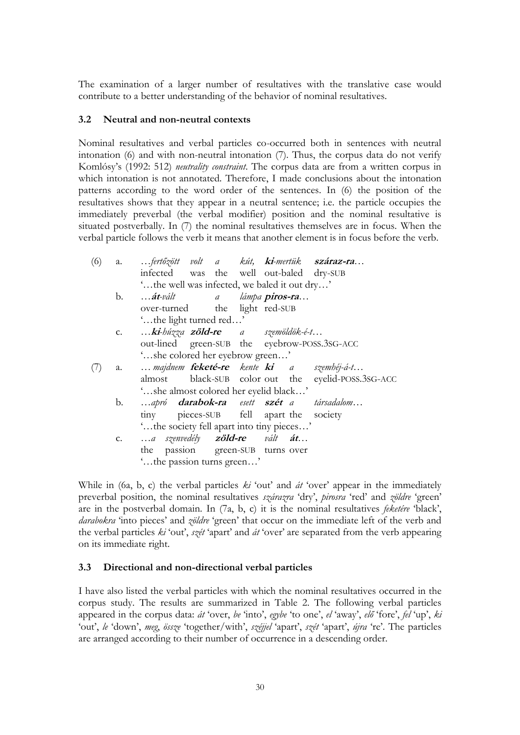The examination of a larger number of resultatives with the translative case would contribute to a better understanding of the behavior of nominal resultatives.

### **3.2 Neutral and non-neutral contexts**

Nominal resultatives and verbal particles co-occurred both in sentences with neutral intonation (6) and with non-neutral intonation (7). Thus, the corpus data do not verify Komlósy"s (1992: 512) *neutrality constraint*. The corpus data are from a written corpus in which intonation is not annotated. Therefore, I made conclusions about the intonation patterns according to the word order of the sentences. In (6) the position of the resultatives shows that they appear in a neutral sentence; i.e. the particle occupies the immediately preverbal (the verbal modifier) position and the nominal resultative is situated postverbally. In (7) the nominal resultatives themselves are in focus. When the verbal particle follows the verb it means that another element is in focus before the verb.

| (6) | a. |                                              |  |  |  | fertőzött volt a kút, ki-mertük száraz-ra              |
|-----|----|----------------------------------------------|--|--|--|--------------------------------------------------------|
|     |    |                                              |  |  |  | infected was the well out-baled dry-SUB                |
|     |    | 'the well was infected, we baled it out dry' |  |  |  |                                                        |
|     | b. | át-vált a lámpa piros-ra                     |  |  |  |                                                        |
|     |    | over-turned the light red-SUB                |  |  |  |                                                        |
|     |    | 'the light turned red'                       |  |  |  |                                                        |
|     |    | c. ki-húzza zöld-re a szemöldök-é-t          |  |  |  |                                                        |
|     |    |                                              |  |  |  | out-lined green-SUB the eyebrow-POSS.3SG-ACC           |
|     |    | 'she colored her eyebrow green'              |  |  |  |                                                        |
|     | a. |                                              |  |  |  | majdnem <b>feketé-re</b> kente <b>ki</b> a szembéj-á-t |
|     |    |                                              |  |  |  | almost black-SUB color out the eyelid-POSS.3SG-ACC     |
|     |    | 'she almost colored her eyelid black'        |  |  |  |                                                        |
|     | b. |                                              |  |  |  | apró <b>darabok-ra</b> esett szét a társadalom         |
|     |    | tiny pieces-SUB fell apart the society       |  |  |  |                                                        |
|     |    | ' the society fell apart into tiny pieces'   |  |  |  |                                                        |
|     | c. | a szenvedély <b>zöld-re</b> vált <b>át</b>   |  |  |  |                                                        |
|     |    | the passion green-SUB turns over             |  |  |  |                                                        |
|     |    | "the passion turns green"                    |  |  |  |                                                        |

While in (6a, b, c) the verbal particles *ki* 'out' and *át* 'over' appear in the immediately preverbal position, the nominal resultatives szárazra 'dry', pirosra 'red' and zöldre 'green' are in the postverbal domain. In (7a, b, c) it is the nominal resultatives *feketére* "black", *darabokra* "into pieces" and *zöldre* "green" that occur on the immediate left of the verb and the verbal particles *ki* "out", *szét* "apart" and *át* "over" are separated from the verb appearing on its immediate right.

### **3.3 Directional and non-directional verbal particles**

I have also listed the verbal particles with which the nominal resultatives occurred in the corpus study. The results are summarized in Table 2. The following verbal particles appeared in the corpus data: *át* "over, *be* "into", *egybe* "to one", *el* "away", *elő* "fore", *fel* "up", *ki* "out", *le* "down", *meg*, *össze* "together/with", *széjjel* "apart", *szét* "apart", *újra* "re". The particles are arranged according to their number of occurrence in a descending order.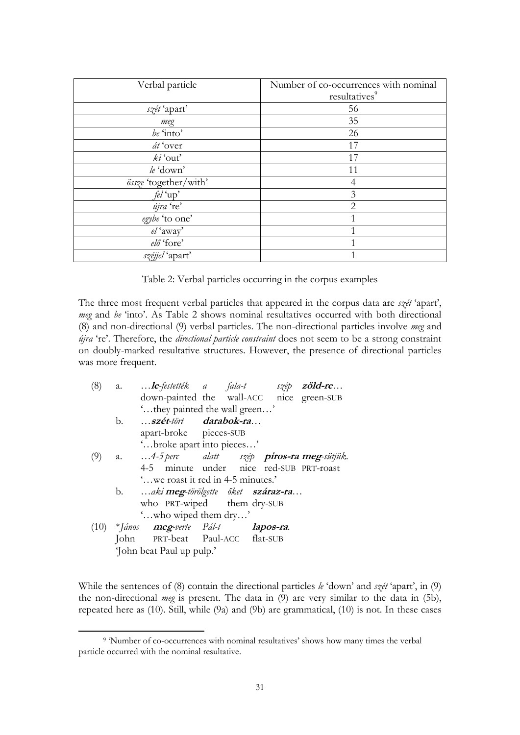| Verbal particle       | Number of co-occurrences with nominal<br>resultatives <sup>9</sup> |
|-----------------------|--------------------------------------------------------------------|
| szét 'apart'          | 56                                                                 |
| meg                   | 35                                                                 |
| be 'into'             | 26                                                                 |
| át 'over              | 17                                                                 |
| $ki'$ out'            | 17                                                                 |
| $le$ 'down'           | 11                                                                 |
| össze 'together/with' | 4                                                                  |
| fel 'up'              | 3                                                                  |
| újra 're'             | $\overline{2}$                                                     |
| egybe 'to one'        |                                                                    |
| el 'away'             |                                                                    |
| elő 'fore'            |                                                                    |
| széjjel 'apart'       | 1                                                                  |

Table 2: Verbal particles occurring in the corpus examples

The three most frequent verbal particles that appeared in the corpus data are *szét* "apart", meg and be 'into'. As Table 2 shows nominal resultatives occurred with both directional (8) and non-directional (9) verbal particles. The non-directional particles involve *meg* and *újra* "re". Therefore, the *directional particle constraint* does not seem to be a strong constraint on doubly-marked resultative structures. However, the presence of directional particles was more frequent.

| (8) |              | a. le-festették a fala-t szép <b>zöld-re</b>                           |  |  |
|-----|--------------|------------------------------------------------------------------------|--|--|
|     |              | down-painted the wall-ACC nice green-SUB                               |  |  |
|     |              | 'they painted the wall green'                                          |  |  |
|     | b.           | szét-tört darabok-ra                                                   |  |  |
|     |              | apart-broke pieces-SUB                                                 |  |  |
|     |              | 'broke apart into pieces'                                              |  |  |
| (9) | a. <b>A.</b> | 4-5 perc alatt szép piros-ra meg-sütjük.                               |  |  |
|     |              | 4-5 minute under nice red-SUB PRT-roast                                |  |  |
|     |              | "we roast it red in 4-5 minutes."                                      |  |  |
|     |              | b. <i>…aki <b>meg</b>-törölgette őket <b>száraz-ra</b>…</i>            |  |  |
|     |              | who PRT-wiped them dry-SUB                                             |  |  |
|     |              | 'who wiped them dry'                                                   |  |  |
|     |              | $(10)$ * <i>János</i> <b>meg</b> -verte <i>Pál-t</i> <b>lapos-ra</b> . |  |  |
|     |              | John PRT-beat Paul-ACC flat-SUB                                        |  |  |
|     |              | John beat Paul up pulp.'                                               |  |  |

While the sentences of (8) contain the directional particles *le* "down" and *szét* "apart", in (9) the non-directional *meg* is present. The data in (9) are very similar to the data in (5b), repeated here as (10). Still, while (9a) and (9b) are grammatical, (10) is not. In these cases

 $\overline{a}$ 

<sup>&</sup>lt;sup>9</sup> 'Number of co-occurrences with nominal resultatives' shows how many times the verbal particle occurred with the nominal resultative.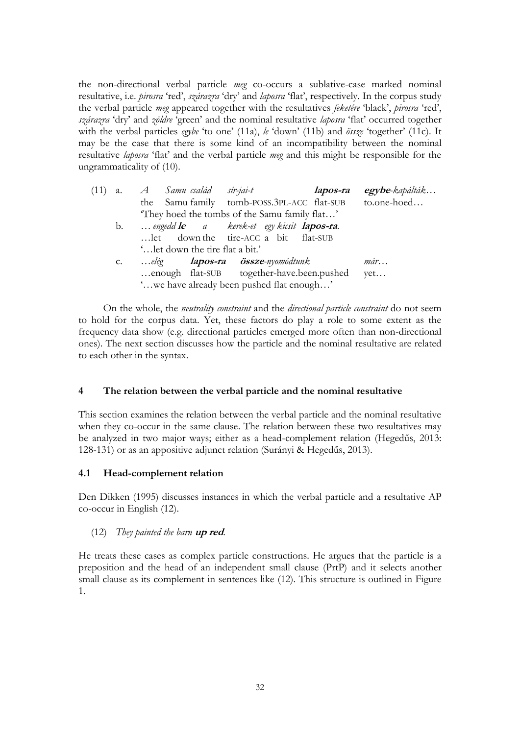the non-directional verbal particle *meg* co-occurs a sublative-case marked nominal resultative, i.e. *pirosra* 'red', *szárazra* 'dry' and *laposra* 'flat', respectively. In the corpus study the verbal particle *meg* appeared together with the resultatives *feketére* "black", *pirosra* "red", *szárazra* "dry" and *zöldre* "green" and the nominal resultative *laposra* "flat" occurred together with the verbal particles *egybe* "to one" (11a), *le* "down" (11b) and *össze* "together" (11c). It may be the case that there is some kind of an incompatibility between the nominal resultative *laposra* "flat" and the verbal particle *meg* and this might be responsible for the ungrammaticality of (10).

| (11) |                | a. A Samu-család sír-jai-t                               | lapos-ra | egybe-kapálták |
|------|----------------|----------------------------------------------------------|----------|----------------|
|      |                | the Samu family tomb-POSS.3PL-ACC flat-SUB               |          | to.one-hoed    |
|      |                | 'They hoed the tombs of the Samu family flat'            |          |                |
|      | b.             | engedd <b>le</b> a kerek-et egy kicsit <b>lapos-ra</b> . |          |                |
|      |                | let down the tire-ACC a bit flat-SUB                     |          |                |
|      |                | ' let down the tire flat a bit.'                         |          |                |
|      | $\mathbf{C}$ . | elég <b>lapos-ra össze</b> -nyomódtunk                   |          | $m$ ár         |
|      |                | enough flat-SUB together-have.been.pushed                |          | yet            |
|      |                | ' we have already been pushed flat enough'               |          |                |

On the whole, the *neutrality constraint* and the *directional particle constraint* do not seem to hold for the corpus data. Yet, these factors do play a role to some extent as the frequency data show (e.g. directional particles emerged more often than non-directional ones). The next section discusses how the particle and the nominal resultative are related to each other in the syntax.

# **4 The relation between the verbal particle and the nominal resultative**

This section examines the relation between the verbal particle and the nominal resultative when they co-occur in the same clause. The relation between these two resultatives may be analyzed in two major ways; either as a head-complement relation (Hegedűs, 2013: 128-131) or as an appositive adjunct relation (Surányi & Hegedűs, 2013).

### **4.1 Head-complement relation**

Den Dikken (1995) discusses instances in which the verbal particle and a resultative AP co-occur in English (12).

# (12) *They painted the barn* **up red**.

He treats these cases as complex particle constructions. He argues that the particle is a preposition and the head of an independent small clause (PrtP) and it selects another small clause as its complement in sentences like (12). This structure is outlined in Figure 1.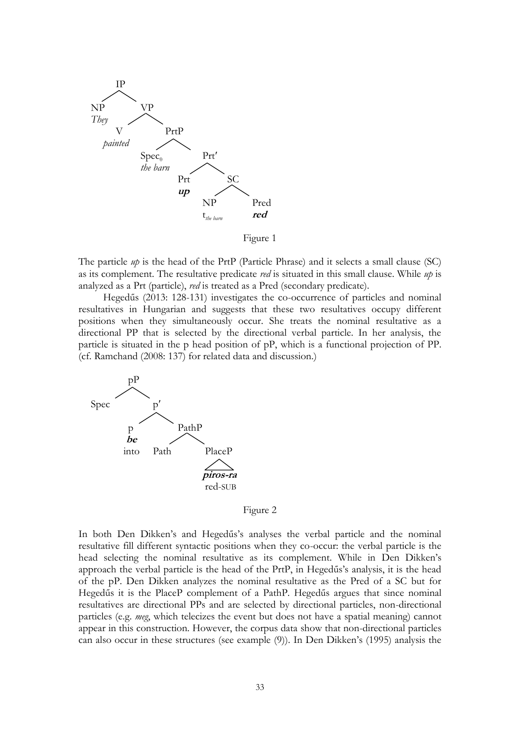

Figure 1

The particle *up* is the head of the PrtP (Particle Phrase) and it selects a small clause (SC) as its complement. The resultative predicate *red* is situated in this small clause. While *up* is analyzed as a Prt (particle), *red* is treated as a Pred (secondary predicate).

Hegedűs (2013: 128-131) investigates the co-occurrence of particles and nominal resultatives in Hungarian and suggests that these two resultatives occupy different positions when they simultaneously occur. She treats the nominal resultative as a directional PP that is selected by the directional verbal particle. In her analysis, the particle is situated in the p head position of pP, which is a functional projection of PP. (cf. Ramchand (2008: 137) for related data and discussion.)



Figure 2

In both Den Dikken's and Hegedűs's analyses the verbal particle and the nominal resultative fill different syntactic positions when they co-occur: the verbal particle is the head selecting the nominal resultative as its complement. While in Den Dikken"s approach the verbal particle is the head of the PrtP, in Hegedűs"s analysis, it is the head of the pP. Den Dikken analyzes the nominal resultative as the Pred of a SC but for Hegedűs it is the PlaceP complement of a PathP. Hegedűs argues that since nominal resultatives are directional PPs and are selected by directional particles, non-directional particles (e.g. *meg*, which telecizes the event but does not have a spatial meaning) cannot appear in this construction. However, the corpus data show that non-directional particles can also occur in these structures (see example (9)). In Den Dikken"s (1995) analysis the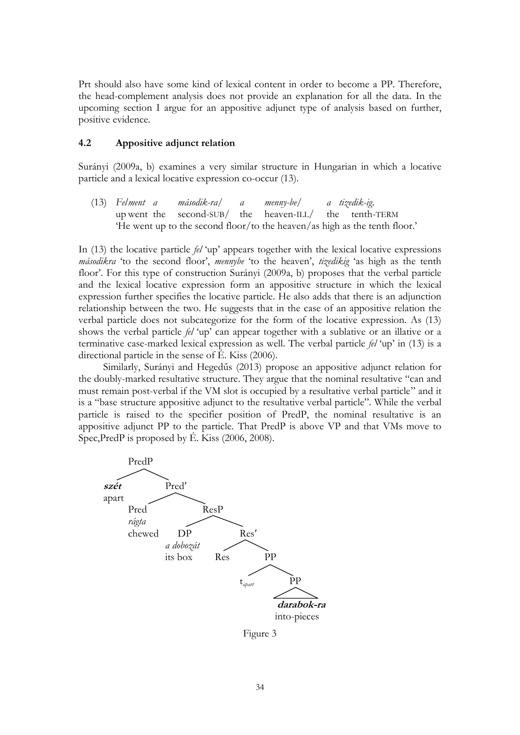Prt should also have some kind of lexical content in order to become a PP. Therefore, the head-complement analysis does not provide an explanation for all the data. In the upcoming section I argue for an appositive adjunct type of analysis based on further, positive evidence.

#### **4.2 Appositive adjunct relation**

Surányi (2009a, b) examines a very similar structure in Hungarian in which a locative particle and a lexical locative expression co-occur (13).

(13) *Felment a második-ra/ a menny-be/ a tizedik-ig*. up went the second-SUB/ the heaven-ILL/ the tenth-TERM "He went up to the second floor/to the heaven/as high as the tenth floor."

In (13) the locative particle *fel* "up" appears together with the lexical locative expressions *másodikra* 'to the second floor', *mennybe* 'to the heaven', *tizedikig* 'as high as the tenth floor'. For this type of construction Surányi (2009a, b) proposes that the verbal particle and the lexical locative expression form an appositive structure in which the lexical expression further specifies the locative particle. He also adds that there is an adjunction relationship between the two. He suggests that in the case of an appositive relation the verbal particle does not subcategorize for the form of the locative expression. As (13) shows the verbal particle *fel* 'up' can appear together with a sublative or an illative or a terminative case-marked lexical expression as well. The verbal particle *fel* "up" in (13) is a directional particle in the sense of É. Kiss (2006).

Similarly, Surányi and Hegedűs (2013) propose an appositive adjunct relation for the doubly-marked resultative structure. They argue that the nominal resultative "can and must remain post-verbal if the VM slot is occupied by a resultative verbal particle" and it is a "base structure appositive adjunct to the resultative verbal particle". While the verbal particle is raised to the specifier position of PredP, the nominal resultative is an appositive adjunct PP to the particle. That PredP is above VP and that VMs move to Spec,PredP is proposed by É. Kiss (2006, 2008).



Figure 3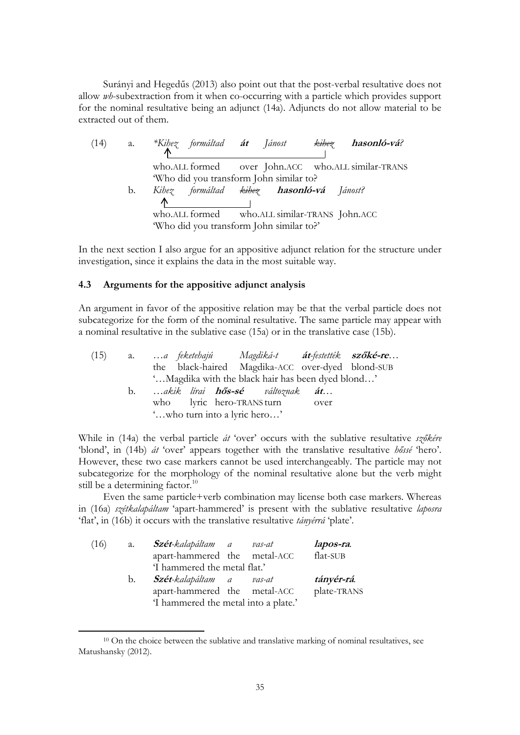Surányi and Hegedűs (2013) also point out that the post-verbal resultative does not allow *wh*-subextraction from it when co-occurring with a particle which provides support for the nominal resultative being an adjunct (14a). Adjuncts do not allow material to be extracted out of them.

| (14) |    | a. *Kihez formáltad <b>át</b> Jánost<br>hasonló-vá?<br>kihez |
|------|----|--------------------------------------------------------------|
|      |    |                                                              |
|      |    | who.ALL formed over John.ACC who.ALL similar-TRANS           |
|      |    | 'Who did you transform John similar to?                      |
|      | b. | Kihez formáltad <del>kihez</del> <b>hasonló-vá</b> Jánost?   |
|      |    | Λ                                                            |
|      |    | who.ALL formed who.ALL similar-TRANS John.ACC                |
|      |    | "Who did you transform John similar to?"                     |

In the next section I also argue for an appositive adjunct relation for the structure under investigation, since it explains the data in the most suitable way.

## **4.3 Arguments for the appositive adjunct analysis**

An argument in favor of the appositive relation may be that the verbal particle does not subcategorize for the form of the nominal resultative. The same particle may appear with a nominal resultative in the sublative case (15a) or in the translative case (15b).

| (15) | <b>a.</b> | a feketebajú  Magdiká-t <b>át</b> -festették <b>szőké-re</b> |  |  |  |  |  |  |
|------|-----------|--------------------------------------------------------------|--|--|--|--|--|--|
|      |           | the black-haired Magdika-ACC over-dyed blond-SUB             |  |  |  |  |  |  |
|      |           | ' Magdika with the black hair has been dyed blond'           |  |  |  |  |  |  |
|      | b.        | akik lírai <b>hős-sé</b> változnak <b>át</b>                 |  |  |  |  |  |  |
|      |           | who lyric hero-TRANS turn over                               |  |  |  |  |  |  |
|      |           | 'who turn into a lyric hero'                                 |  |  |  |  |  |  |

While in (14a) the verbal particle *át* "over" occurs with the sublative resultative *szőkére* "blond", in (14b) *át* "over" appears together with the translative resultative *hőssé* "hero". However, these two case markers cannot be used interchangeably. The particle may not subcategorize for the morphology of the nominal resultative alone but the verb might still be a determining factor.<sup>10</sup>

Even the same particle+verb combination may license both case markers. Whereas in (16a) *szétkalapáltam* "apart-hammered" is present with the sublative resultative *laposra* 'flat', in (16b) it occurs with the translative resultative *tányérrá* 'plate'.

| (16) | а.                           | <b>Szét</b> -kalapáltam a            |  | vas-at | lapos-ra.   |
|------|------------------------------|--------------------------------------|--|--------|-------------|
|      |                              | apart-hammered the metal-ACC         |  |        | flat-SUB    |
|      | 'I hammered the metal flat.' |                                      |  |        |             |
|      | b.                           | <b>Szét</b> -kalapáltam a            |  | vas-at | tányér-rá.  |
|      |                              | apart-hammered the metal-ACC         |  |        | plate-TRANS |
|      |                              | 'I hammered the metal into a plate.' |  |        |             |

 $\overline{a}$ 

<sup>&</sup>lt;sup>10</sup> On the choice between the sublative and translative marking of nominal resultatives, see Matushansky (2012).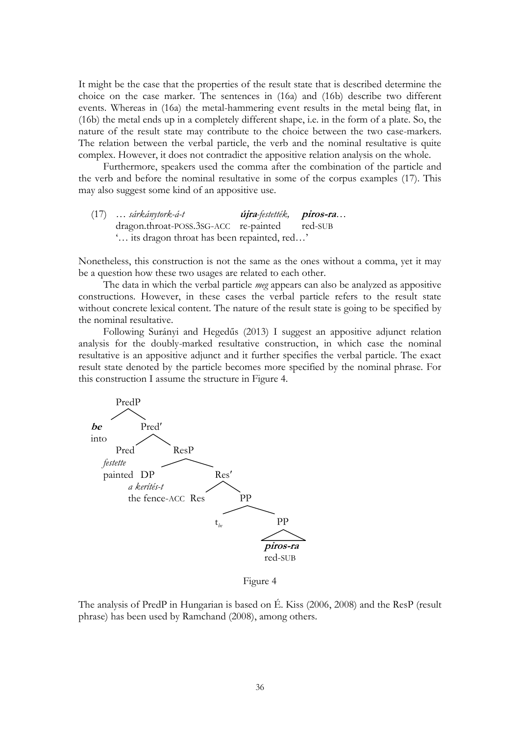It might be the case that the properties of the result state that is described determine the choice on the case marker. The sentences in (16a) and (16b) describe two different events. Whereas in (16a) the metal-hammering event results in the metal being flat, in (16b) the metal ends up in a completely different shape, i.e. in the form of a plate. So, the nature of the result state may contribute to the choice between the two case-markers. The relation between the verbal particle, the verb and the nominal resultative is quite complex. However, it does not contradict the appositive relation analysis on the whole.

Furthermore, speakers used the comma after the combination of the particle and the verb and before the nominal resultative in some of the corpus examples (17). This may also suggest some kind of an appositive use.

(17) *… sárkánytork-á-t* **újra***-festették,* **piros-ra***…* dragon.throat-POSS.3SG-ACC re-painted red-SUB "… its dragon throat has been repainted, red…"

Nonetheless, this construction is not the same as the ones without a comma, yet it may be a question how these two usages are related to each other.

The data in which the verbal particle *meg* appears can also be analyzed as appositive constructions. However, in these cases the verbal particle refers to the result state without concrete lexical content. The nature of the result state is going to be specified by the nominal resultative.

Following Surányi and Hegedűs (2013) I suggest an appositive adjunct relation analysis for the doubly-marked resultative construction, in which case the nominal resultative is an appositive adjunct and it further specifies the verbal particle. The exact result state denoted by the particle becomes more specified by the nominal phrase. For this construction I assume the structure in Figure 4.



Figure 4

The analysis of PredP in Hungarian is based on É. Kiss (2006, 2008) and the ResP (result phrase) has been used by Ramchand (2008), among others.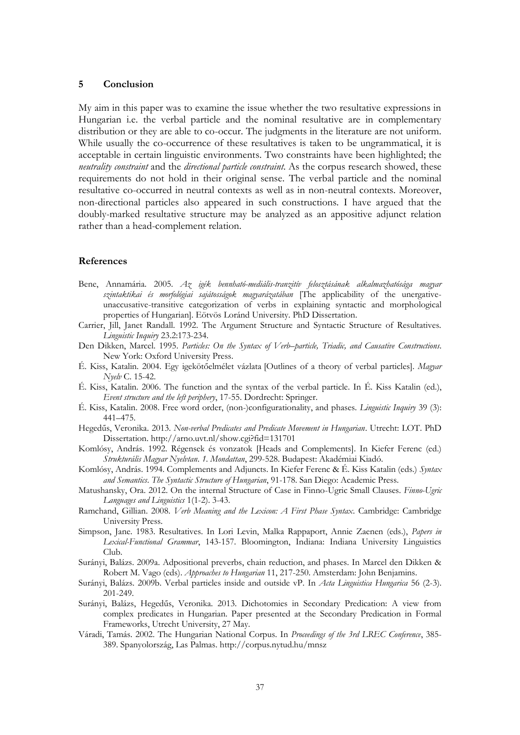#### **5 Conclusion**

My aim in this paper was to examine the issue whether the two resultative expressions in Hungarian i.e. the verbal particle and the nominal resultative are in complementary distribution or they are able to co-occur. The judgments in the literature are not uniform. While usually the co-occurrence of these resultatives is taken to be ungrammatical, it is acceptable in certain linguistic environments. Two constraints have been highlighted; the *neutrality constraint* and the *directional particle constraint*. As the corpus research showed, these requirements do not hold in their original sense. The verbal particle and the nominal resultative co-occurred in neutral contexts as well as in non-neutral contexts. Moreover, non-directional particles also appeared in such constructions. I have argued that the doubly-marked resultative structure may be analyzed as an appositive adjunct relation rather than a head-complement relation.

#### **References**

- Bene, Annamária. 2005. *Az igék bennható-mediális-tranzitív felosztásának alkalmazhatósága magyar szintaktikai és morfológiai sajátosságok magyarázatában* [The applicability of the unergativeunaccusative-transitive categorization of verbs in explaining syntactic and morphological properties of Hungarian]. Eötvös Loránd University. PhD Dissertation.
- Carrier, Jill, Janet Randall. 1992. The Argument Structure and Syntactic Structure of Resultatives. *Linguistic Inquiry* 23.2:173-234.
- Den Dikken, Marcel. 1995. *Particles: On the Syntax of Verb–particle, Triadic, and Causative Constructions*. New York: Oxford University Press.
- É. Kiss, Katalin. 2004. Egy igekötőelmélet vázlata [Outlines of a theory of verbal particles]. *Magyar Nyelv* C. 15-42.
- É. Kiss, Katalin. 2006. The function and the syntax of the verbal particle. In É. Kiss Katalin (ed.), *Event structure and the left periphery*, 17-55. Dordrecht: Springer.
- É. Kiss, Katalin. 2008. Free word order, (non-)configurationality, and phases. *Linguistic Inquiry* 39 (3): 441–475.
- Hegedűs, Veronika. 2013. *Non-verbal Predicates and Predicate Movement in Hungarian*. Utrecht: LOT. PhD Dissertation[. http://arno.uvt.nl/show.cgi?fid=131701](http://arno.uvt.nl/show.cgi?fid=131701)
- Komlósy, András. 1992. Régensek és vonzatok [Heads and Complements]. In Kiefer Ferenc (ed.) *Strukturális Magyar Nyelvtan*. *1. Mondattan*, 299-528. Budapest: Akadémiai Kiadó.
- Komlósy, András. 1994. Complements and Adjuncts. In Kiefer Ferenc & É. Kiss Katalin (eds.) *Syntax and Semantics*. *The Syntactic Structure of Hungarian*, 91-178. San Diego: Academic Press.
- Matushansky, Ora. 2012. On the internal Structure of Case in Finno-Ugric Small Clauses. *Finno-Ugric Languages and Linguistics* 1(1-2). 3-43.
- Ramchand, Gillian. 2008. *Verb Meaning and the Lexicon: A First Phase Syntax*. Cambridge: Cambridge University Press.
- Simpson, Jane. 1983. Resultatives. In Lori Levin, Malka Rappaport, Annie Zaenen (eds.), *Papers in Lexical-Functional Grammar*, 143-157. Bloomington, Indiana: Indiana University Linguistics Club.
- Surányi, Balázs. 2009a. Adpositional preverbs, chain reduction, and phases. In Marcel den Dikken & Robert M. Vago (eds). *Approaches to Hungarian* 11, 217-250. Amsterdam: John Benjamins.
- Surányi, Balázs. 2009b. Verbal particles inside and outside vP. In *Acta Linguistica Hungarica* 56 (2-3). 201-249.
- Surányi, Balázs, Hegedűs, Veronika. 2013. Dichotomies in Secondary Predication: A view from complex predicates in Hungarian. Paper presented at the Secondary Predication in Formal Frameworks, Utrecht University, 27 May.
- Váradi, Tamás. 2002. The Hungarian National Corpus. In *Proceedings of the 3rd LREC Conference*, 385- 389. Spanyolország, Las Palmas. <http://corpus.nytud.hu/mnsz>